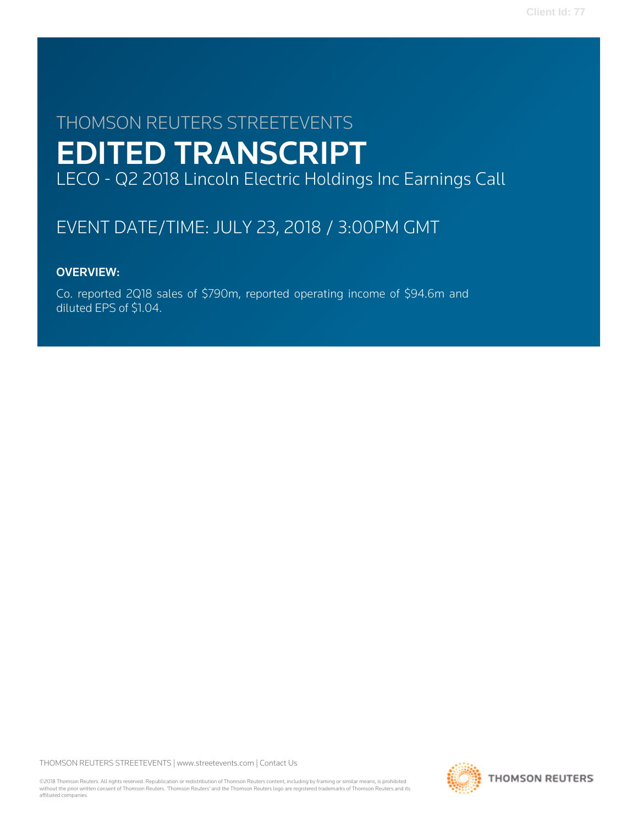# THOMSON REUTERS STREETEVENTS EDITED TRANSCRIPT LECO - Q2 2018 Lincoln Electric Holdings Inc Earnings Call

# EVENT DATE/TIME: JULY 23, 2018 / 3:00PM GMT

# OVERVIEW:

Co. reported 2Q18 sales of \$790m, reported operating income of \$94.6m and diluted EPS of \$1.04.

THOMSON REUTERS STREETEVENTS | [www.streetevents.com](http://www.streetevents.com) | [Contact Us](http://www010.streetevents.com/contact.asp)

©2018 Thomson Reuters. All rights reserved. Republication or redistribution of Thomson Reuters content, including by framing or similar means, is prohibited without the prior written consent of Thomson Reuters. 'Thomson Reuters' and the Thomson Reuters logo are registered trademarks of Thomson Reuters and its affiliated companies.

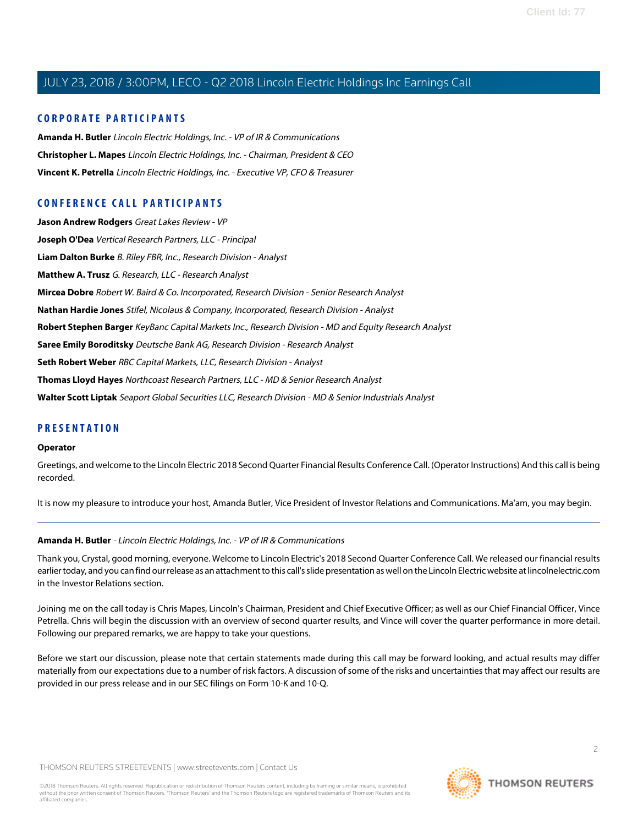#### **CORPORATE PARTICIPANTS**

**[Amanda H. Butler](#page-1-0)** Lincoln Electric Holdings, Inc. - VP of IR & Communications **[Christopher L. Mapes](#page-2-0)** Lincoln Electric Holdings, Inc. - Chairman, President & CEO **[Vincent K. Petrella](#page-3-0)** Lincoln Electric Holdings, Inc. - Executive VP, CFO & Treasurer

### **CONFERENCE CALL PARTICIPANTS**

**[Jason Andrew Rodgers](#page-4-0)** Great Lakes Review - VP **[Joseph O'Dea](#page-5-0)** Vertical Research Partners, LLC - Principal **[Liam Dalton Burke](#page-11-0)** B. Riley FBR, Inc., Research Division - Analyst **[Matthew A. Trusz](#page-8-0)** G. Research, LLC - Research Analyst **[Mircea Dobre](#page-7-0)** Robert W. Baird & Co. Incorporated, Research Division - Senior Research Analyst **[Nathan Hardie Jones](#page-9-0)** Stifel, Nicolaus & Company, Incorporated, Research Division - Analyst **[Robert Stephen Barger](#page-13-0)** KeyBanc Capital Markets Inc., Research Division - MD and Equity Research Analyst **[Saree Emily Boroditsky](#page-6-0)** Deutsche Bank AG, Research Division - Research Analyst **[Seth Robert Weber](#page-12-0)** RBC Capital Markets, LLC, Research Division - Analyst **[Thomas Lloyd Hayes](#page-11-1)** Northcoast Research Partners, LLC - MD & Senior Research Analyst **[Walter Scott Liptak](#page-10-0)** Seaport Global Securities LLC, Research Division - MD & Senior Industrials Analyst

#### **PRESENTATION**

#### **Operator**

Greetings, and welcome to the Lincoln Electric 2018 Second Quarter Financial Results Conference Call. (Operator Instructions) And this call is being recorded.

<span id="page-1-0"></span>It is now my pleasure to introduce your host, Amanda Butler, Vice President of Investor Relations and Communications. Ma'am, you may begin.

#### **Amanda H. Butler** - Lincoln Electric Holdings, Inc. - VP of IR & Communications

Thank you, Crystal, good morning, everyone. Welcome to Lincoln Electric's 2018 Second Quarter Conference Call. We released our financial results earlier today, and you can find our release as an attachment to this call's slide presentation as well on the Lincoln Electric website at lincolnelectric.com in the Investor Relations section.

Joining me on the call today is Chris Mapes, Lincoln's Chairman, President and Chief Executive Officer; as well as our Chief Financial Officer, Vince Petrella. Chris will begin the discussion with an overview of second quarter results, and Vince will cover the quarter performance in more detail. Following our prepared remarks, we are happy to take your questions.

Before we start our discussion, please note that certain statements made during this call may be forward looking, and actual results may differ materially from our expectations due to a number of risk factors. A discussion of some of the risks and uncertainties that may affect our results are provided in our press release and in our SEC filings on Form 10-K and 10-Q.

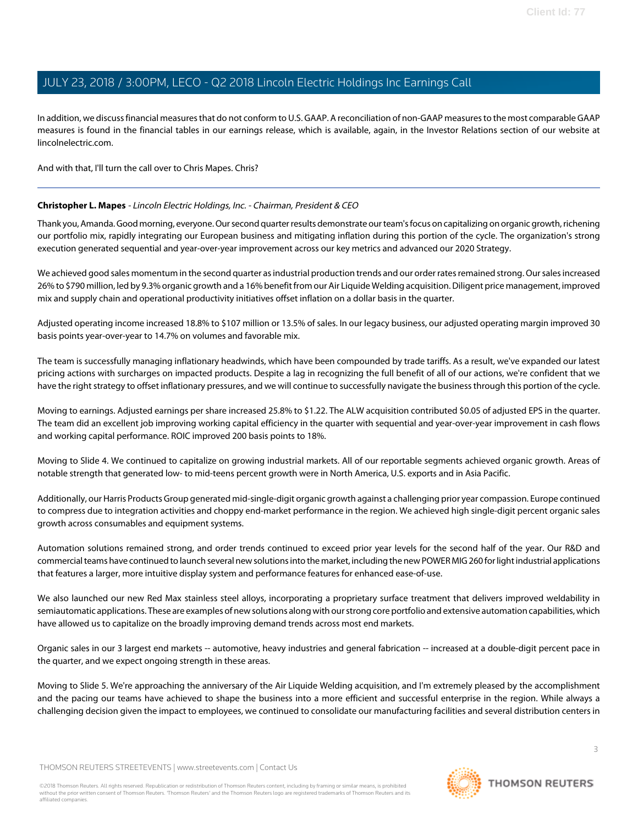In addition, we discuss financial measures that do not conform to U.S. GAAP. A reconciliation of non-GAAP measures to the most comparable GAAP measures is found in the financial tables in our earnings release, which is available, again, in the Investor Relations section of our website at lincolnelectric.com.

<span id="page-2-0"></span>And with that, I'll turn the call over to Chris Mapes. Chris?

#### **Christopher L. Mapes** - Lincoln Electric Holdings, Inc. - Chairman, President & CEO

Thank you, Amanda. Good morning, everyone. Our second quarter results demonstrate our team's focus on capitalizing on organic growth, richening our portfolio mix, rapidly integrating our European business and mitigating inflation during this portion of the cycle. The organization's strong execution generated sequential and year-over-year improvement across our key metrics and advanced our 2020 Strategy.

We achieved good sales momentum in the second quarter as industrial production trends and our order rates remained strong. Our sales increased 26% to \$790 million, led by 9.3% organic growth and a 16% benefit from our Air Liquide Welding acquisition. Diligent price management, improved mix and supply chain and operational productivity initiatives offset inflation on a dollar basis in the quarter.

Adjusted operating income increased 18.8% to \$107 million or 13.5% of sales. In our legacy business, our adjusted operating margin improved 30 basis points year-over-year to 14.7% on volumes and favorable mix.

The team is successfully managing inflationary headwinds, which have been compounded by trade tariffs. As a result, we've expanded our latest pricing actions with surcharges on impacted products. Despite a lag in recognizing the full benefit of all of our actions, we're confident that we have the right strategy to offset inflationary pressures, and we will continue to successfully navigate the business through this portion of the cycle.

Moving to earnings. Adjusted earnings per share increased 25.8% to \$1.22. The ALW acquisition contributed \$0.05 of adjusted EPS in the quarter. The team did an excellent job improving working capital efficiency in the quarter with sequential and year-over-year improvement in cash flows and working capital performance. ROIC improved 200 basis points to 18%.

Moving to Slide 4. We continued to capitalize on growing industrial markets. All of our reportable segments achieved organic growth. Areas of notable strength that generated low- to mid-teens percent growth were in North America, U.S. exports and in Asia Pacific.

Additionally, our Harris Products Group generated mid-single-digit organic growth against a challenging prior year compassion. Europe continued to compress due to integration activities and choppy end-market performance in the region. We achieved high single-digit percent organic sales growth across consumables and equipment systems.

Automation solutions remained strong, and order trends continued to exceed prior year levels for the second half of the year. Our R&D and commercial teams have continued to launch several new solutions into the market, including the new POWER MIG 260 for light industrial applications that features a larger, more intuitive display system and performance features for enhanced ease-of-use.

We also launched our new Red Max stainless steel alloys, incorporating a proprietary surface treatment that delivers improved weldability in semiautomatic applications. These are examples of new solutions along with our strong core portfolio and extensive automation capabilities, which have allowed us to capitalize on the broadly improving demand trends across most end markets.

Organic sales in our 3 largest end markets -- automotive, heavy industries and general fabrication -- increased at a double-digit percent pace in the quarter, and we expect ongoing strength in these areas.

Moving to Slide 5. We're approaching the anniversary of the Air Liquide Welding acquisition, and I'm extremely pleased by the accomplishment and the pacing our teams have achieved to shape the business into a more efficient and successful enterprise in the region. While always a challenging decision given the impact to employees, we continued to consolidate our manufacturing facilities and several distribution centers in

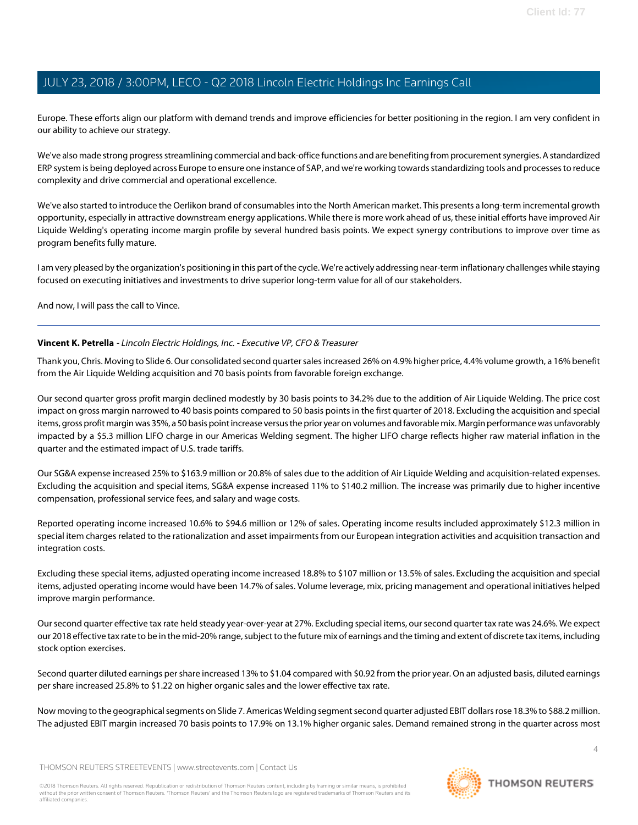Europe. These efforts align our platform with demand trends and improve efficiencies for better positioning in the region. I am very confident in our ability to achieve our strategy.

We've also made strong progress streamlining commercial and back-office functions and are benefiting from procurement synergies. A standardized ERP system is being deployed across Europe to ensure one instance of SAP, and we're working towards standardizing tools and processes to reduce complexity and drive commercial and operational excellence.

We've also started to introduce the Oerlikon brand of consumables into the North American market. This presents a long-term incremental growth opportunity, especially in attractive downstream energy applications. While there is more work ahead of us, these initial efforts have improved Air Liquide Welding's operating income margin profile by several hundred basis points. We expect synergy contributions to improve over time as program benefits fully mature.

I am very pleased by the organization's positioning in this part of the cycle. We're actively addressing near-term inflationary challenges while staying focused on executing initiatives and investments to drive superior long-term value for all of our stakeholders.

<span id="page-3-0"></span>And now, I will pass the call to Vince.

#### **Vincent K. Petrella** - Lincoln Electric Holdings, Inc. - Executive VP, CFO & Treasurer

Thank you, Chris. Moving to Slide 6. Our consolidated second quarter sales increased 26% on 4.9% higher price, 4.4% volume growth, a 16% benefit from the Air Liquide Welding acquisition and 70 basis points from favorable foreign exchange.

Our second quarter gross profit margin declined modestly by 30 basis points to 34.2% due to the addition of Air Liquide Welding. The price cost impact on gross margin narrowed to 40 basis points compared to 50 basis points in the first quarter of 2018. Excluding the acquisition and special items, gross profit margin was 35%, a 50 basis point increase versus the prior year on volumes and favorable mix. Margin performance was unfavorably impacted by a \$5.3 million LIFO charge in our Americas Welding segment. The higher LIFO charge reflects higher raw material inflation in the quarter and the estimated impact of U.S. trade tariffs.

Our SG&A expense increased 25% to \$163.9 million or 20.8% of sales due to the addition of Air Liquide Welding and acquisition-related expenses. Excluding the acquisition and special items, SG&A expense increased 11% to \$140.2 million. The increase was primarily due to higher incentive compensation, professional service fees, and salary and wage costs.

Reported operating income increased 10.6% to \$94.6 million or 12% of sales. Operating income results included approximately \$12.3 million in special item charges related to the rationalization and asset impairments from our European integration activities and acquisition transaction and integration costs.

Excluding these special items, adjusted operating income increased 18.8% to \$107 million or 13.5% of sales. Excluding the acquisition and special items, adjusted operating income would have been 14.7% of sales. Volume leverage, mix, pricing management and operational initiatives helped improve margin performance.

Our second quarter effective tax rate held steady year-over-year at 27%. Excluding special items, our second quarter tax rate was 24.6%. We expect our 2018 effective tax rate to be in the mid-20% range, subject to the future mix of earnings and the timing and extent of discrete tax items, including stock option exercises.

Second quarter diluted earnings per share increased 13% to \$1.04 compared with \$0.92 from the prior year. On an adjusted basis, diluted earnings per share increased 25.8% to \$1.22 on higher organic sales and the lower effective tax rate.

Now moving to the geographical segments on Slide 7. Americas Welding segment second quarter adjusted EBIT dollars rose 18.3% to \$88.2 million. The adjusted EBIT margin increased 70 basis points to 17.9% on 13.1% higher organic sales. Demand remained strong in the quarter across most

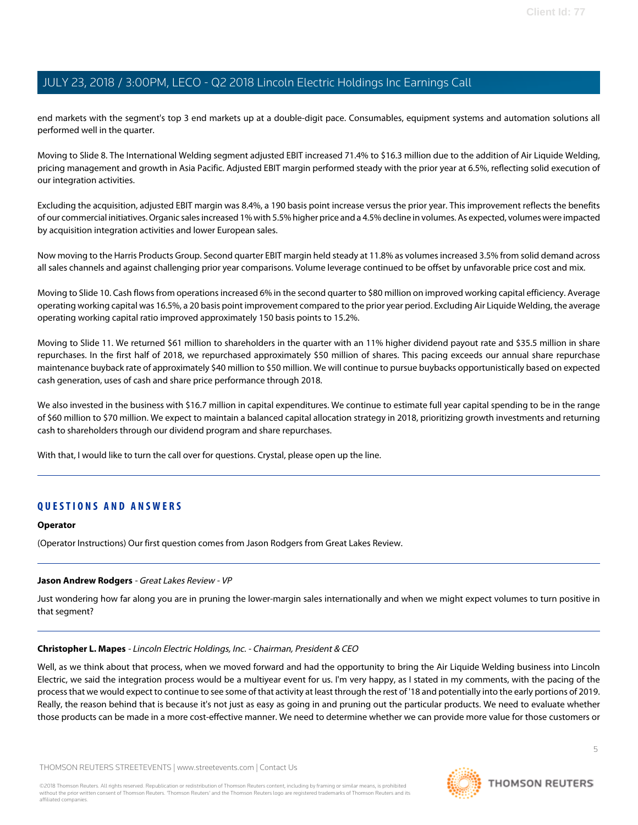end markets with the segment's top 3 end markets up at a double-digit pace. Consumables, equipment systems and automation solutions all performed well in the quarter.

Moving to Slide 8. The International Welding segment adjusted EBIT increased 71.4% to \$16.3 million due to the addition of Air Liquide Welding, pricing management and growth in Asia Pacific. Adjusted EBIT margin performed steady with the prior year at 6.5%, reflecting solid execution of our integration activities.

Excluding the acquisition, adjusted EBIT margin was 8.4%, a 190 basis point increase versus the prior year. This improvement reflects the benefits of our commercial initiatives. Organic sales increased 1% with 5.5% higher price and a 4.5% decline in volumes. As expected, volumes were impacted by acquisition integration activities and lower European sales.

Now moving to the Harris Products Group. Second quarter EBIT margin held steady at 11.8% as volumes increased 3.5% from solid demand across all sales channels and against challenging prior year comparisons. Volume leverage continued to be offset by unfavorable price cost and mix.

Moving to Slide 10. Cash flows from operations increased 6% in the second quarter to \$80 million on improved working capital efficiency. Average operating working capital was 16.5%, a 20 basis point improvement compared to the prior year period. Excluding Air Liquide Welding, the average operating working capital ratio improved approximately 150 basis points to 15.2%.

Moving to Slide 11. We returned \$61 million to shareholders in the quarter with an 11% higher dividend payout rate and \$35.5 million in share repurchases. In the first half of 2018, we repurchased approximately \$50 million of shares. This pacing exceeds our annual share repurchase maintenance buyback rate of approximately \$40 million to \$50 million. We will continue to pursue buybacks opportunistically based on expected cash generation, uses of cash and share price performance through 2018.

We also invested in the business with \$16.7 million in capital expenditures. We continue to estimate full year capital spending to be in the range of \$60 million to \$70 million. We expect to maintain a balanced capital allocation strategy in 2018, prioritizing growth investments and returning cash to shareholders through our dividend program and share repurchases.

With that, I would like to turn the call over for questions. Crystal, please open up the line.

### **QUESTIONS AND ANSWERS**

#### <span id="page-4-0"></span>**Operator**

(Operator Instructions) Our first question comes from Jason Rodgers from Great Lakes Review.

#### **Jason Andrew Rodgers** - Great Lakes Review - VP

Just wondering how far along you are in pruning the lower-margin sales internationally and when we might expect volumes to turn positive in that segment?

#### **Christopher L. Mapes** - Lincoln Electric Holdings, Inc. - Chairman, President & CEO

Well, as we think about that process, when we moved forward and had the opportunity to bring the Air Liquide Welding business into Lincoln Electric, we said the integration process would be a multiyear event for us. I'm very happy, as I stated in my comments, with the pacing of the process that we would expect to continue to see some of that activity at least through the rest of '18 and potentially into the early portions of 2019. Really, the reason behind that is because it's not just as easy as going in and pruning out the particular products. We need to evaluate whether those products can be made in a more cost-effective manner. We need to determine whether we can provide more value for those customers or

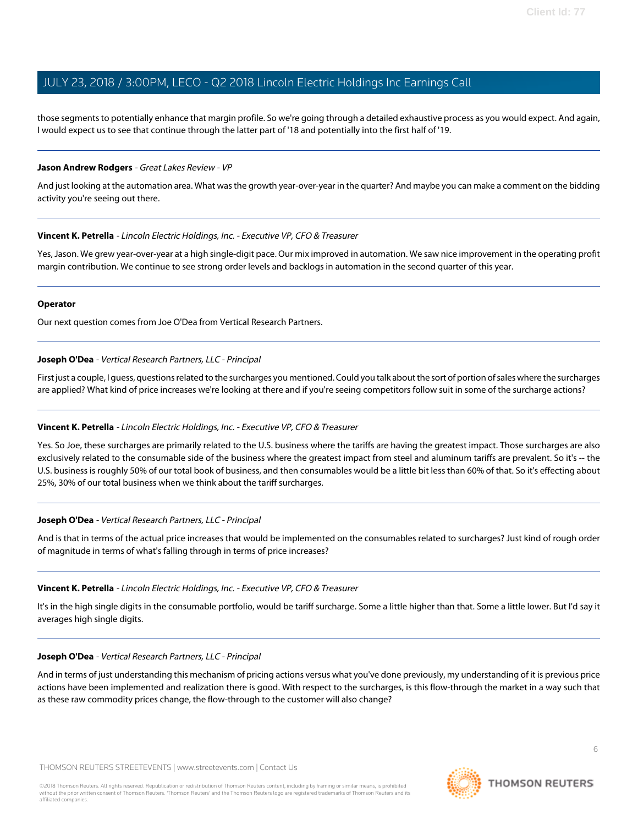those segments to potentially enhance that margin profile. So we're going through a detailed exhaustive process as you would expect. And again, I would expect us to see that continue through the latter part of '18 and potentially into the first half of '19.

#### **Jason Andrew Rodgers** - Great Lakes Review - VP

And just looking at the automation area. What was the growth year-over-year in the quarter? And maybe you can make a comment on the bidding activity you're seeing out there.

#### **Vincent K. Petrella** - Lincoln Electric Holdings, Inc. - Executive VP, CFO & Treasurer

Yes, Jason. We grew year-over-year at a high single-digit pace. Our mix improved in automation. We saw nice improvement in the operating profit margin contribution. We continue to see strong order levels and backlogs in automation in the second quarter of this year.

#### **Operator**

<span id="page-5-0"></span>Our next question comes from Joe O'Dea from Vertical Research Partners.

#### **Joseph O'Dea** - Vertical Research Partners, LLC - Principal

First just a couple, I guess, questions related to the surcharges you mentioned. Could you talk about the sort of portion of sales where the surcharges are applied? What kind of price increases we're looking at there and if you're seeing competitors follow suit in some of the surcharge actions?

#### **Vincent K. Petrella** - Lincoln Electric Holdings, Inc. - Executive VP, CFO & Treasurer

Yes. So Joe, these surcharges are primarily related to the U.S. business where the tariffs are having the greatest impact. Those surcharges are also exclusively related to the consumable side of the business where the greatest impact from steel and aluminum tariffs are prevalent. So it's -- the U.S. business is roughly 50% of our total book of business, and then consumables would be a little bit less than 60% of that. So it's effecting about 25%, 30% of our total business when we think about the tariff surcharges.

#### **Joseph O'Dea** - Vertical Research Partners, LLC - Principal

And is that in terms of the actual price increases that would be implemented on the consumables related to surcharges? Just kind of rough order of magnitude in terms of what's falling through in terms of price increases?

#### **Vincent K. Petrella** - Lincoln Electric Holdings, Inc. - Executive VP, CFO & Treasurer

It's in the high single digits in the consumable portfolio, would be tariff surcharge. Some a little higher than that. Some a little lower. But I'd say it averages high single digits.

#### **Joseph O'Dea** - Vertical Research Partners, LLC - Principal

And in terms of just understanding this mechanism of pricing actions versus what you've done previously, my understanding of it is previous price actions have been implemented and realization there is good. With respect to the surcharges, is this flow-through the market in a way such that as these raw commodity prices change, the flow-through to the customer will also change?

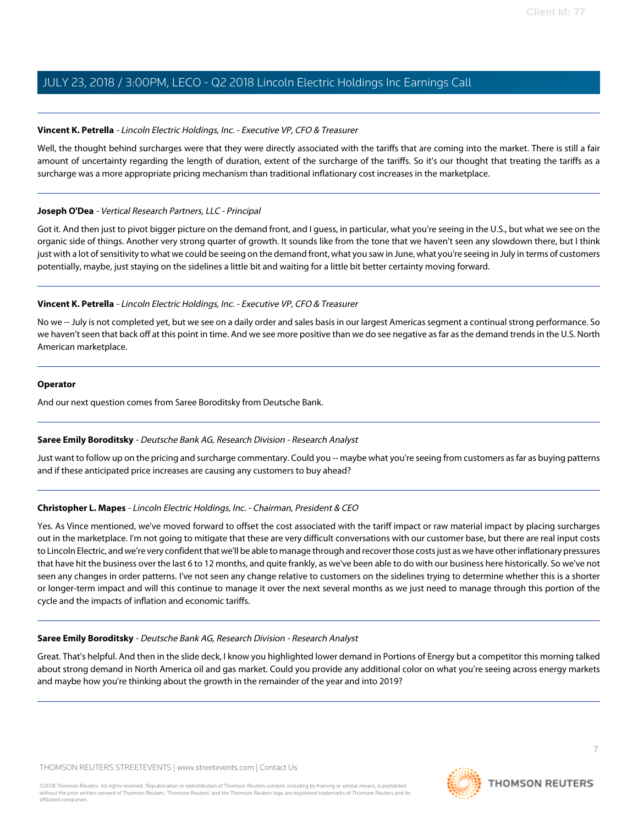#### **Vincent K. Petrella** - Lincoln Electric Holdings, Inc. - Executive VP, CFO & Treasurer

Well, the thought behind surcharges were that they were directly associated with the tariffs that are coming into the market. There is still a fair amount of uncertainty regarding the length of duration, extent of the surcharge of the tariffs. So it's our thought that treating the tariffs as a surcharge was a more appropriate pricing mechanism than traditional inflationary cost increases in the marketplace.

#### **Joseph O'Dea** - Vertical Research Partners, LLC - Principal

Got it. And then just to pivot bigger picture on the demand front, and I guess, in particular, what you're seeing in the U.S., but what we see on the organic side of things. Another very strong quarter of growth. It sounds like from the tone that we haven't seen any slowdown there, but I think just with a lot of sensitivity to what we could be seeing on the demand front, what you saw in June, what you're seeing in July in terms of customers potentially, maybe, just staying on the sidelines a little bit and waiting for a little bit better certainty moving forward.

#### **Vincent K. Petrella** - Lincoln Electric Holdings, Inc. - Executive VP, CFO & Treasurer

No we -- July is not completed yet, but we see on a daily order and sales basis in our largest Americas segment a continual strong performance. So we haven't seen that back off at this point in time. And we see more positive than we do see negative as far as the demand trends in the U.S. North American marketplace.

#### **Operator**

<span id="page-6-0"></span>And our next question comes from Saree Boroditsky from Deutsche Bank.

#### **Saree Emily Boroditsky** - Deutsche Bank AG, Research Division - Research Analyst

Just want to follow up on the pricing and surcharge commentary. Could you -- maybe what you're seeing from customers as far as buying patterns and if these anticipated price increases are causing any customers to buy ahead?

#### **Christopher L. Mapes** - Lincoln Electric Holdings, Inc. - Chairman, President & CEO

Yes. As Vince mentioned, we've moved forward to offset the cost associated with the tariff impact or raw material impact by placing surcharges out in the marketplace. I'm not going to mitigate that these are very difficult conversations with our customer base, but there are real input costs to Lincoln Electric, and we're very confident that we'll be able to manage through and recover those costs just as we have other inflationary pressures that have hit the business over the last 6 to 12 months, and quite frankly, as we've been able to do with our business here historically. So we've not seen any changes in order patterns. I've not seen any change relative to customers on the sidelines trying to determine whether this is a shorter or longer-term impact and will this continue to manage it over the next several months as we just need to manage through this portion of the cycle and the impacts of inflation and economic tariffs.

#### **Saree Emily Boroditsky** - Deutsche Bank AG, Research Division - Research Analyst

Great. That's helpful. And then in the slide deck, I know you highlighted lower demand in Portions of Energy but a competitor this morning talked about strong demand in North America oil and gas market. Could you provide any additional color on what you're seeing across energy markets and maybe how you're thinking about the growth in the remainder of the year and into 2019?

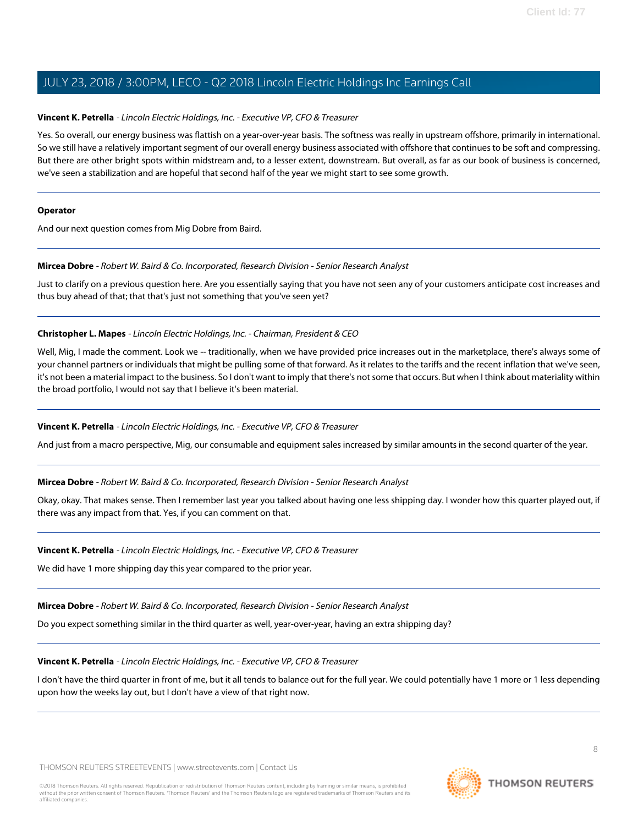#### **Vincent K. Petrella** - Lincoln Electric Holdings, Inc. - Executive VP, CFO & Treasurer

Yes. So overall, our energy business was flattish on a year-over-year basis. The softness was really in upstream offshore, primarily in international. So we still have a relatively important segment of our overall energy business associated with offshore that continues to be soft and compressing. But there are other bright spots within midstream and, to a lesser extent, downstream. But overall, as far as our book of business is concerned, we've seen a stabilization and are hopeful that second half of the year we might start to see some growth.

#### **Operator**

<span id="page-7-0"></span>And our next question comes from Mig Dobre from Baird.

#### **Mircea Dobre** - Robert W. Baird & Co. Incorporated, Research Division - Senior Research Analyst

Just to clarify on a previous question here. Are you essentially saying that you have not seen any of your customers anticipate cost increases and thus buy ahead of that; that that's just not something that you've seen yet?

#### **Christopher L. Mapes** - Lincoln Electric Holdings, Inc. - Chairman, President & CEO

Well, Mig, I made the comment. Look we -- traditionally, when we have provided price increases out in the marketplace, there's always some of your channel partners or individuals that might be pulling some of that forward. As it relates to the tariffs and the recent inflation that we've seen, it's not been a material impact to the business. So I don't want to imply that there's not some that occurs. But when I think about materiality within the broad portfolio, I would not say that I believe it's been material.

#### **Vincent K. Petrella** - Lincoln Electric Holdings, Inc. - Executive VP, CFO & Treasurer

And just from a macro perspective, Mig, our consumable and equipment sales increased by similar amounts in the second quarter of the year.

#### **Mircea Dobre** - Robert W. Baird & Co. Incorporated, Research Division - Senior Research Analyst

Okay, okay. That makes sense. Then I remember last year you talked about having one less shipping day. I wonder how this quarter played out, if there was any impact from that. Yes, if you can comment on that.

#### **Vincent K. Petrella** - Lincoln Electric Holdings, Inc. - Executive VP, CFO & Treasurer

We did have 1 more shipping day this year compared to the prior year.

#### **Mircea Dobre** - Robert W. Baird & Co. Incorporated, Research Division - Senior Research Analyst

Do you expect something similar in the third quarter as well, year-over-year, having an extra shipping day?

#### **Vincent K. Petrella** - Lincoln Electric Holdings, Inc. - Executive VP, CFO & Treasurer

I don't have the third quarter in front of me, but it all tends to balance out for the full year. We could potentially have 1 more or 1 less depending upon how the weeks lay out, but I don't have a view of that right now.

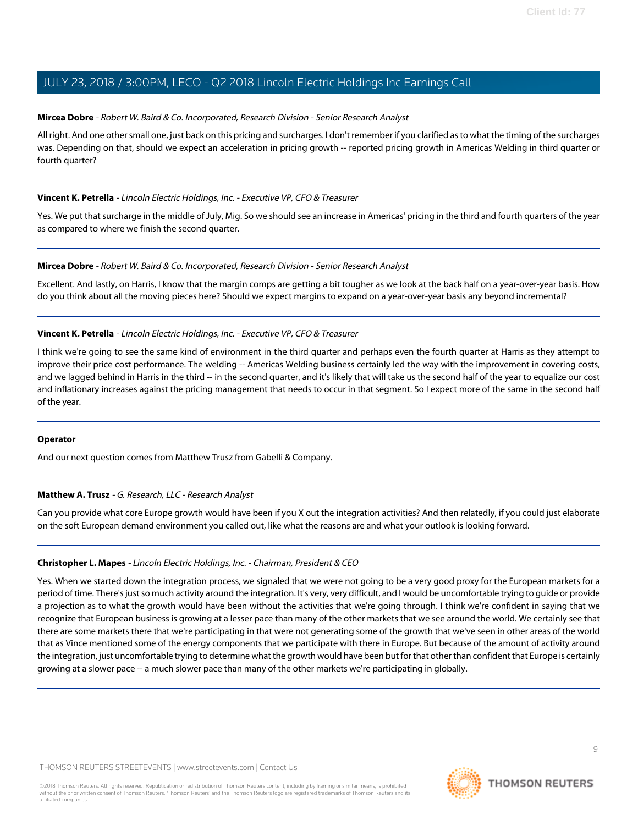#### **Mircea Dobre** - Robert W. Baird & Co. Incorporated, Research Division - Senior Research Analyst

All right. And one other small one, just back on this pricing and surcharges. I don't remember if you clarified as to what the timing of the surcharges was. Depending on that, should we expect an acceleration in pricing growth -- reported pricing growth in Americas Welding in third quarter or fourth quarter?

#### **Vincent K. Petrella** - Lincoln Electric Holdings, Inc. - Executive VP, CFO & Treasurer

Yes. We put that surcharge in the middle of July, Mig. So we should see an increase in Americas' pricing in the third and fourth quarters of the year as compared to where we finish the second quarter.

#### **Mircea Dobre** - Robert W. Baird & Co. Incorporated, Research Division - Senior Research Analyst

Excellent. And lastly, on Harris, I know that the margin comps are getting a bit tougher as we look at the back half on a year-over-year basis. How do you think about all the moving pieces here? Should we expect margins to expand on a year-over-year basis any beyond incremental?

#### **Vincent K. Petrella** - Lincoln Electric Holdings, Inc. - Executive VP, CFO & Treasurer

I think we're going to see the same kind of environment in the third quarter and perhaps even the fourth quarter at Harris as they attempt to improve their price cost performance. The welding -- Americas Welding business certainly led the way with the improvement in covering costs, and we lagged behind in Harris in the third -- in the second quarter, and it's likely that will take us the second half of the year to equalize our cost and inflationary increases against the pricing management that needs to occur in that segment. So I expect more of the same in the second half of the year.

#### <span id="page-8-0"></span>**Operator**

And our next question comes from Matthew Trusz from Gabelli & Company.

#### **Matthew A. Trusz** - G. Research, LLC - Research Analyst

Can you provide what core Europe growth would have been if you X out the integration activities? And then relatedly, if you could just elaborate on the soft European demand environment you called out, like what the reasons are and what your outlook is looking forward.

#### **Christopher L. Mapes** - Lincoln Electric Holdings, Inc. - Chairman, President & CEO

Yes. When we started down the integration process, we signaled that we were not going to be a very good proxy for the European markets for a period of time. There's just so much activity around the integration. It's very, very difficult, and I would be uncomfortable trying to guide or provide a projection as to what the growth would have been without the activities that we're going through. I think we're confident in saying that we recognize that European business is growing at a lesser pace than many of the other markets that we see around the world. We certainly see that there are some markets there that we're participating in that were not generating some of the growth that we've seen in other areas of the world that as Vince mentioned some of the energy components that we participate with there in Europe. But because of the amount of activity around the integration, just uncomfortable trying to determine what the growth would have been but for that other than confident that Europe is certainly growing at a slower pace -- a much slower pace than many of the other markets we're participating in globally.

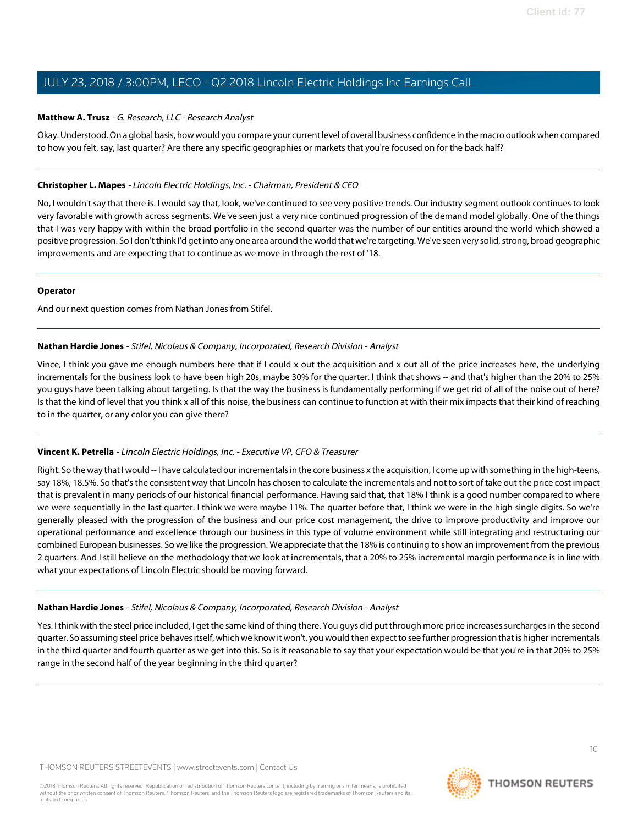#### **Matthew A. Trusz** - G. Research, LLC - Research Analyst

Okay. Understood. On a global basis, how would you compare your current level of overall business confidence in the macro outlook when compared to how you felt, say, last quarter? Are there any specific geographies or markets that you're focused on for the back half?

#### **Christopher L. Mapes** - Lincoln Electric Holdings, Inc. - Chairman, President & CEO

No, I wouldn't say that there is. I would say that, look, we've continued to see very positive trends. Our industry segment outlook continues to look very favorable with growth across segments. We've seen just a very nice continued progression of the demand model globally. One of the things that I was very happy with within the broad portfolio in the second quarter was the number of our entities around the world which showed a positive progression. So I don't think I'd get into any one area around the world that we're targeting. We've seen very solid, strong, broad geographic improvements and are expecting that to continue as we move in through the rest of '18.

#### **Operator**

<span id="page-9-0"></span>And our next question comes from Nathan Jones from Stifel.

#### **Nathan Hardie Jones** - Stifel, Nicolaus & Company, Incorporated, Research Division - Analyst

Vince, I think you gave me enough numbers here that if I could x out the acquisition and x out all of the price increases here, the underlying incrementals for the business look to have been high 20s, maybe 30% for the quarter. I think that shows -- and that's higher than the 20% to 25% you guys have been talking about targeting. Is that the way the business is fundamentally performing if we get rid of all of the noise out of here? Is that the kind of level that you think x all of this noise, the business can continue to function at with their mix impacts that their kind of reaching to in the quarter, or any color you can give there?

#### **Vincent K. Petrella** - Lincoln Electric Holdings, Inc. - Executive VP, CFO & Treasurer

Right. So the way that I would -- I have calculated our incrementals in the core business x the acquisition, I come up with something in the high-teens, say 18%, 18.5%. So that's the consistent way that Lincoln has chosen to calculate the incrementals and not to sort of take out the price cost impact that is prevalent in many periods of our historical financial performance. Having said that, that 18% I think is a good number compared to where we were sequentially in the last quarter. I think we were maybe 11%. The quarter before that, I think we were in the high single digits. So we're generally pleased with the progression of the business and our price cost management, the drive to improve productivity and improve our operational performance and excellence through our business in this type of volume environment while still integrating and restructuring our combined European businesses. So we like the progression. We appreciate that the 18% is continuing to show an improvement from the previous 2 quarters. And I still believe on the methodology that we look at incrementals, that a 20% to 25% incremental margin performance is in line with what your expectations of Lincoln Electric should be moving forward.

#### **Nathan Hardie Jones** - Stifel, Nicolaus & Company, Incorporated, Research Division - Analyst

Yes. I think with the steel price included, I get the same kind of thing there. You guys did put through more price increases surcharges in the second quarter. So assuming steel price behaves itself, which we know it won't, you would then expect to see further progression that is higher incrementals in the third quarter and fourth quarter as we get into this. So is it reasonable to say that your expectation would be that you're in that 20% to 25% range in the second half of the year beginning in the third quarter?

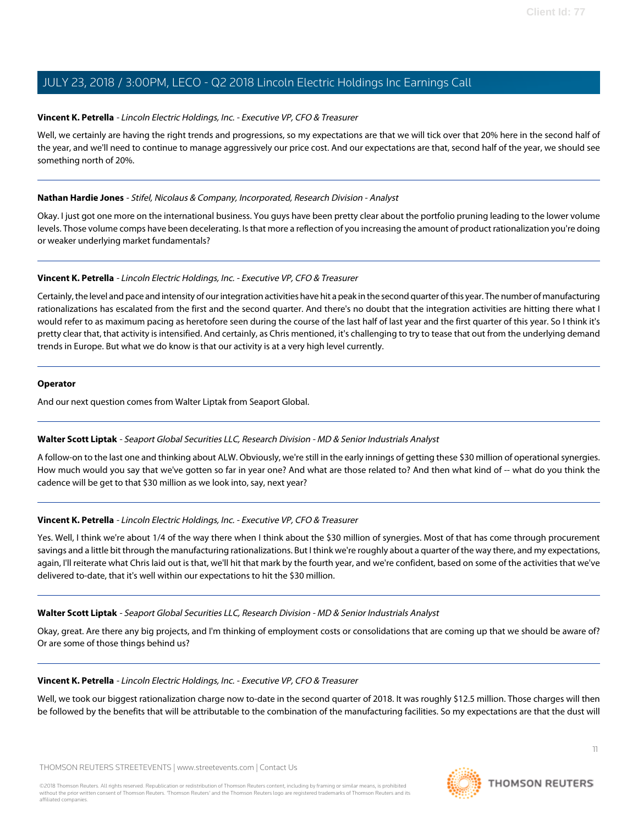#### **Vincent K. Petrella** - Lincoln Electric Holdings, Inc. - Executive VP, CFO & Treasurer

Well, we certainly are having the right trends and progressions, so my expectations are that we will tick over that 20% here in the second half of the year, and we'll need to continue to manage aggressively our price cost. And our expectations are that, second half of the year, we should see something north of 20%.

#### **Nathan Hardie Jones** - Stifel, Nicolaus & Company, Incorporated, Research Division - Analyst

Okay. I just got one more on the international business. You guys have been pretty clear about the portfolio pruning leading to the lower volume levels. Those volume comps have been decelerating. Is that more a reflection of you increasing the amount of product rationalization you're doing or weaker underlying market fundamentals?

#### **Vincent K. Petrella** - Lincoln Electric Holdings, Inc. - Executive VP, CFO & Treasurer

Certainly, the level and pace and intensity of our integration activities have hit a peak in the second quarter of this year. The number of manufacturing rationalizations has escalated from the first and the second quarter. And there's no doubt that the integration activities are hitting there what I would refer to as maximum pacing as heretofore seen during the course of the last half of last year and the first quarter of this year. So I think it's pretty clear that, that activity is intensified. And certainly, as Chris mentioned, it's challenging to try to tease that out from the underlying demand trends in Europe. But what we do know is that our activity is at a very high level currently.

#### **Operator**

<span id="page-10-0"></span>And our next question comes from Walter Liptak from Seaport Global.

#### **Walter Scott Liptak** - Seaport Global Securities LLC, Research Division - MD & Senior Industrials Analyst

A follow-on to the last one and thinking about ALW. Obviously, we're still in the early innings of getting these \$30 million of operational synergies. How much would you say that we've gotten so far in year one? And what are those related to? And then what kind of -- what do you think the cadence will be get to that \$30 million as we look into, say, next year?

#### **Vincent K. Petrella** - Lincoln Electric Holdings, Inc. - Executive VP, CFO & Treasurer

Yes. Well, I think we're about 1/4 of the way there when I think about the \$30 million of synergies. Most of that has come through procurement savings and a little bit through the manufacturing rationalizations. But I think we're roughly about a quarter of the way there, and my expectations, again, I'll reiterate what Chris laid out is that, we'll hit that mark by the fourth year, and we're confident, based on some of the activities that we've delivered to-date, that it's well within our expectations to hit the \$30 million.

#### **Walter Scott Liptak** - Seaport Global Securities LLC, Research Division - MD & Senior Industrials Analyst

Okay, great. Are there any big projects, and I'm thinking of employment costs or consolidations that are coming up that we should be aware of? Or are some of those things behind us?

#### **Vincent K. Petrella** - Lincoln Electric Holdings, Inc. - Executive VP, CFO & Treasurer

Well, we took our biggest rationalization charge now to-date in the second quarter of 2018. It was roughly \$12.5 million. Those charges will then be followed by the benefits that will be attributable to the combination of the manufacturing facilities. So my expectations are that the dust will

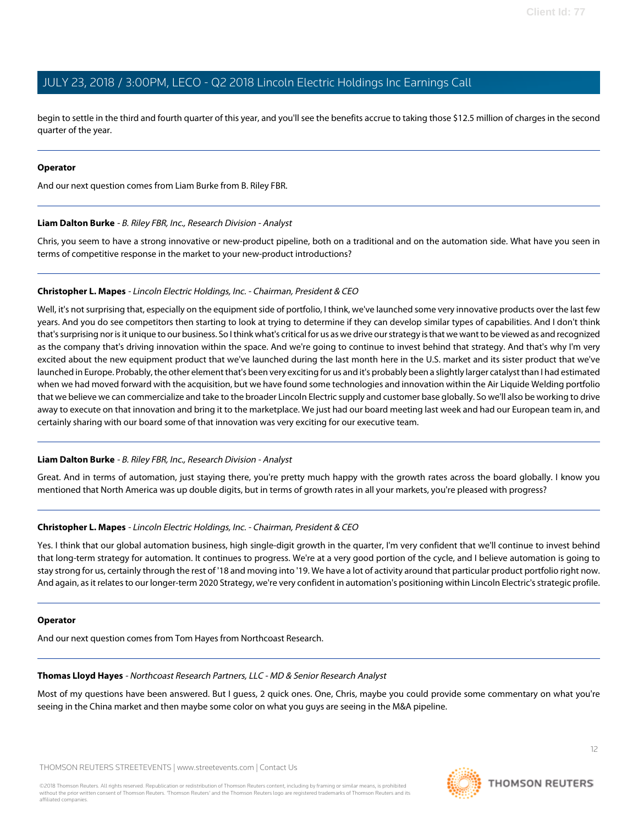begin to settle in the third and fourth quarter of this year, and you'll see the benefits accrue to taking those \$12.5 million of charges in the second quarter of the year.

#### **Operator**

<span id="page-11-0"></span>And our next question comes from Liam Burke from B. Riley FBR.

#### **Liam Dalton Burke** - B. Riley FBR, Inc., Research Division - Analyst

Chris, you seem to have a strong innovative or new-product pipeline, both on a traditional and on the automation side. What have you seen in terms of competitive response in the market to your new-product introductions?

#### **Christopher L. Mapes** - Lincoln Electric Holdings, Inc. - Chairman, President & CEO

Well, it's not surprising that, especially on the equipment side of portfolio, I think, we've launched some very innovative products over the last few years. And you do see competitors then starting to look at trying to determine if they can develop similar types of capabilities. And I don't think that's surprising nor is it unique to our business. So I think what's critical for us as we drive our strategy is that we want to be viewed as and recognized as the company that's driving innovation within the space. And we're going to continue to invest behind that strategy. And that's why I'm very excited about the new equipment product that we've launched during the last month here in the U.S. market and its sister product that we've launched in Europe. Probably, the other element that's been very exciting for us and it's probably been a slightly larger catalyst than I had estimated when we had moved forward with the acquisition, but we have found some technologies and innovation within the Air Liquide Welding portfolio that we believe we can commercialize and take to the broader Lincoln Electric supply and customer base globally. So we'll also be working to drive away to execute on that innovation and bring it to the marketplace. We just had our board meeting last week and had our European team in, and certainly sharing with our board some of that innovation was very exciting for our executive team.

#### **Liam Dalton Burke** - B. Riley FBR, Inc., Research Division - Analyst

Great. And in terms of automation, just staying there, you're pretty much happy with the growth rates across the board globally. I know you mentioned that North America was up double digits, but in terms of growth rates in all your markets, you're pleased with progress?

#### **Christopher L. Mapes** - Lincoln Electric Holdings, Inc. - Chairman, President & CEO

Yes. I think that our global automation business, high single-digit growth in the quarter, I'm very confident that we'll continue to invest behind that long-term strategy for automation. It continues to progress. We're at a very good portion of the cycle, and I believe automation is going to stay strong for us, certainly through the rest of '18 and moving into '19. We have a lot of activity around that particular product portfolio right now. And again, as it relates to our longer-term 2020 Strategy, we're very confident in automation's positioning within Lincoln Electric's strategic profile.

#### <span id="page-11-1"></span>**Operator**

And our next question comes from Tom Hayes from Northcoast Research.

#### **Thomas Lloyd Hayes** - Northcoast Research Partners, LLC - MD & Senior Research Analyst

Most of my questions have been answered. But I guess, 2 quick ones. One, Chris, maybe you could provide some commentary on what you're seeing in the China market and then maybe some color on what you guys are seeing in the M&A pipeline.

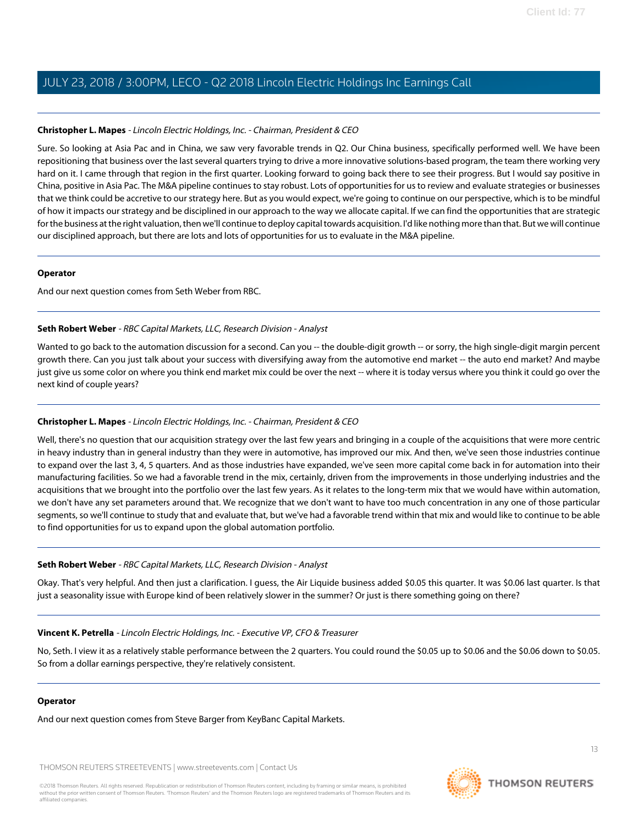#### **Christopher L. Mapes** - Lincoln Electric Holdings, Inc. - Chairman, President & CEO

Sure. So looking at Asia Pac and in China, we saw very favorable trends in Q2. Our China business, specifically performed well. We have been repositioning that business over the last several quarters trying to drive a more innovative solutions-based program, the team there working very hard on it. I came through that region in the first quarter. Looking forward to going back there to see their progress. But I would say positive in China, positive in Asia Pac. The M&A pipeline continues to stay robust. Lots of opportunities for us to review and evaluate strategies or businesses that we think could be accretive to our strategy here. But as you would expect, we're going to continue on our perspective, which is to be mindful of how it impacts our strategy and be disciplined in our approach to the way we allocate capital. If we can find the opportunities that are strategic for the business at the right valuation, then we'll continue to deploy capital towards acquisition. I'd like nothing more than that. But we will continue our disciplined approach, but there are lots and lots of opportunities for us to evaluate in the M&A pipeline.

#### **Operator**

<span id="page-12-0"></span>And our next question comes from Seth Weber from RBC.

#### **Seth Robert Weber** - RBC Capital Markets, LLC, Research Division - Analyst

Wanted to go back to the automation discussion for a second. Can you -- the double-digit growth -- or sorry, the high single-digit margin percent growth there. Can you just talk about your success with diversifying away from the automotive end market -- the auto end market? And maybe just give us some color on where you think end market mix could be over the next -- where it is today versus where you think it could go over the next kind of couple years?

#### **Christopher L. Mapes** - Lincoln Electric Holdings, Inc. - Chairman, President & CEO

Well, there's no question that our acquisition strategy over the last few years and bringing in a couple of the acquisitions that were more centric in heavy industry than in general industry than they were in automotive, has improved our mix. And then, we've seen those industries continue to expand over the last 3, 4, 5 quarters. And as those industries have expanded, we've seen more capital come back in for automation into their manufacturing facilities. So we had a favorable trend in the mix, certainly, driven from the improvements in those underlying industries and the acquisitions that we brought into the portfolio over the last few years. As it relates to the long-term mix that we would have within automation, we don't have any set parameters around that. We recognize that we don't want to have too much concentration in any one of those particular segments, so we'll continue to study that and evaluate that, but we've had a favorable trend within that mix and would like to continue to be able to find opportunities for us to expand upon the global automation portfolio.

#### **Seth Robert Weber** - RBC Capital Markets, LLC, Research Division - Analyst

Okay. That's very helpful. And then just a clarification. I guess, the Air Liquide business added \$0.05 this quarter. It was \$0.06 last quarter. Is that just a seasonality issue with Europe kind of been relatively slower in the summer? Or just is there something going on there?

#### **Vincent K. Petrella** - Lincoln Electric Holdings, Inc. - Executive VP, CFO & Treasurer

No, Seth. I view it as a relatively stable performance between the 2 quarters. You could round the \$0.05 up to \$0.06 and the \$0.06 down to \$0.05. So from a dollar earnings perspective, they're relatively consistent.

#### **Operator**

And our next question comes from Steve Barger from KeyBanc Capital Markets.

THOMSON REUTERS STREETEVENTS | [www.streetevents.com](http://www.streetevents.com) | [Contact Us](http://www010.streetevents.com/contact.asp)



13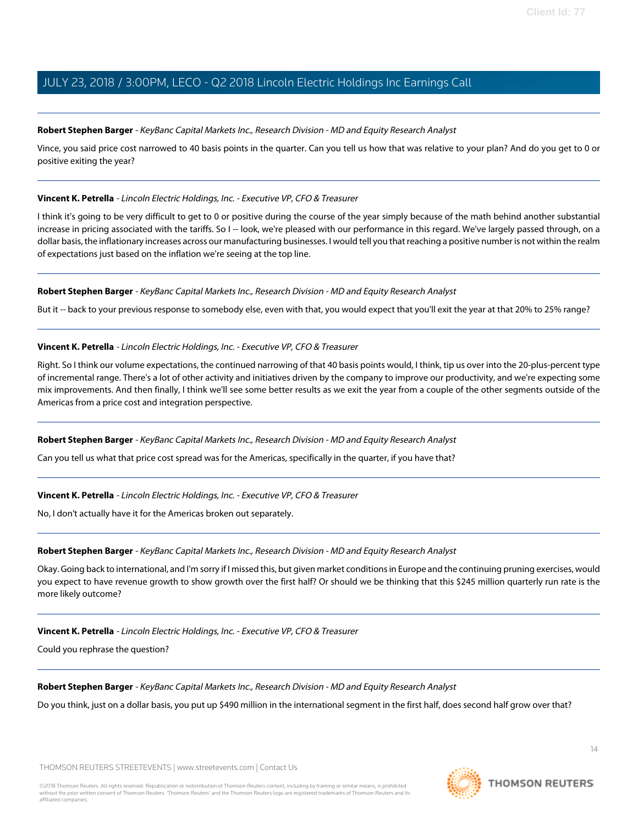#### <span id="page-13-0"></span>**Robert Stephen Barger** - KeyBanc Capital Markets Inc., Research Division - MD and Equity Research Analyst

Vince, you said price cost narrowed to 40 basis points in the quarter. Can you tell us how that was relative to your plan? And do you get to 0 or positive exiting the year?

#### **Vincent K. Petrella** - Lincoln Electric Holdings, Inc. - Executive VP, CFO & Treasurer

I think it's going to be very difficult to get to 0 or positive during the course of the year simply because of the math behind another substantial increase in pricing associated with the tariffs. So I -- look, we're pleased with our performance in this regard. We've largely passed through, on a dollar basis, the inflationary increases across our manufacturing businesses. I would tell you that reaching a positive number is not within the realm of expectations just based on the inflation we're seeing at the top line.

#### **Robert Stephen Barger** - KeyBanc Capital Markets Inc., Research Division - MD and Equity Research Analyst

But it -- back to your previous response to somebody else, even with that, you would expect that you'll exit the year at that 20% to 25% range?

#### **Vincent K. Petrella** - Lincoln Electric Holdings, Inc. - Executive VP, CFO & Treasurer

Right. So I think our volume expectations, the continued narrowing of that 40 basis points would, I think, tip us over into the 20-plus-percent type of incremental range. There's a lot of other activity and initiatives driven by the company to improve our productivity, and we're expecting some mix improvements. And then finally, I think we'll see some better results as we exit the year from a couple of the other segments outside of the Americas from a price cost and integration perspective.

#### **Robert Stephen Barger** - KeyBanc Capital Markets Inc., Research Division - MD and Equity Research Analyst

Can you tell us what that price cost spread was for the Americas, specifically in the quarter, if you have that?

#### **Vincent K. Petrella** - Lincoln Electric Holdings, Inc. - Executive VP, CFO & Treasurer

No, I don't actually have it for the Americas broken out separately.

#### **Robert Stephen Barger** - KeyBanc Capital Markets Inc., Research Division - MD and Equity Research Analyst

Okay. Going back to international, and I'm sorry if I missed this, but given market conditions in Europe and the continuing pruning exercises, would you expect to have revenue growth to show growth over the first half? Or should we be thinking that this \$245 million quarterly run rate is the more likely outcome?

#### **Vincent K. Petrella** - Lincoln Electric Holdings, Inc. - Executive VP, CFO & Treasurer

Could you rephrase the question?

#### **Robert Stephen Barger** - KeyBanc Capital Markets Inc., Research Division - MD and Equity Research Analyst

Do you think, just on a dollar basis, you put up \$490 million in the international segment in the first half, does second half grow over that?

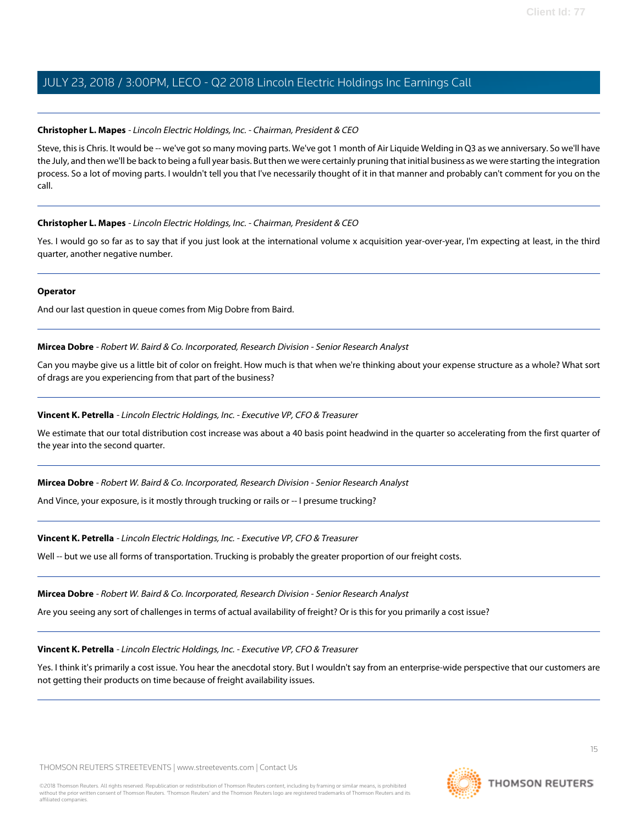#### **Christopher L. Mapes** - Lincoln Electric Holdings, Inc. - Chairman, President & CEO

Steve, this is Chris. It would be -- we've got so many moving parts. We've got 1 month of Air Liquide Welding in Q3 as we anniversary. So we'll have the July, and then we'll be back to being a full year basis. But then we were certainly pruning that initial business as we were starting the integration process. So a lot of moving parts. I wouldn't tell you that I've necessarily thought of it in that manner and probably can't comment for you on the call.

#### **Christopher L. Mapes** - Lincoln Electric Holdings, Inc. - Chairman, President & CEO

Yes. I would go so far as to say that if you just look at the international volume x acquisition year-over-year, I'm expecting at least, in the third quarter, another negative number.

#### **Operator**

And our last question in queue comes from Mig Dobre from Baird.

#### **Mircea Dobre** - Robert W. Baird & Co. Incorporated, Research Division - Senior Research Analyst

Can you maybe give us a little bit of color on freight. How much is that when we're thinking about your expense structure as a whole? What sort of drags are you experiencing from that part of the business?

#### **Vincent K. Petrella** - Lincoln Electric Holdings, Inc. - Executive VP, CFO & Treasurer

We estimate that our total distribution cost increase was about a 40 basis point headwind in the quarter so accelerating from the first quarter of the year into the second quarter.

**Mircea Dobre** - Robert W. Baird & Co. Incorporated, Research Division - Senior Research Analyst

And Vince, your exposure, is it mostly through trucking or rails or -- I presume trucking?

#### **Vincent K. Petrella** - Lincoln Electric Holdings, Inc. - Executive VP, CFO & Treasurer

Well -- but we use all forms of transportation. Trucking is probably the greater proportion of our freight costs.

#### **Mircea Dobre** - Robert W. Baird & Co. Incorporated, Research Division - Senior Research Analyst

Are you seeing any sort of challenges in terms of actual availability of freight? Or is this for you primarily a cost issue?

#### **Vincent K. Petrella** - Lincoln Electric Holdings, Inc. - Executive VP, CFO & Treasurer

Yes. I think it's primarily a cost issue. You hear the anecdotal story. But I wouldn't say from an enterprise-wide perspective that our customers are not getting their products on time because of freight availability issues.

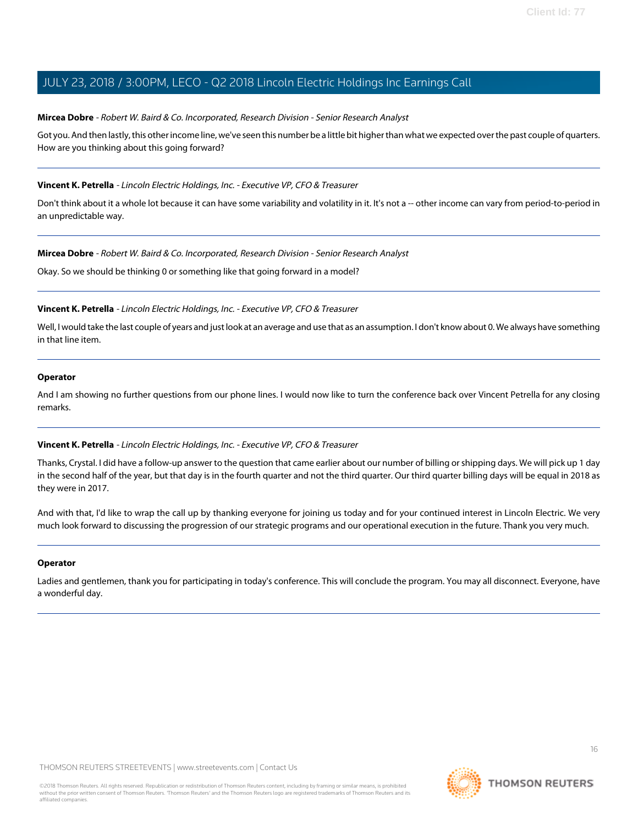#### **Mircea Dobre** - Robert W. Baird & Co. Incorporated, Research Division - Senior Research Analyst

Got you. And then lastly, this other income line, we've seen this number be a little bit higher than what we expected over the past couple of quarters. How are you thinking about this going forward?

#### **Vincent K. Petrella** - Lincoln Electric Holdings, Inc. - Executive VP, CFO & Treasurer

Don't think about it a whole lot because it can have some variability and volatility in it. It's not a -- other income can vary from period-to-period in an unpredictable way.

#### **Mircea Dobre** - Robert W. Baird & Co. Incorporated, Research Division - Senior Research Analyst

Okay. So we should be thinking 0 or something like that going forward in a model?

#### **Vincent K. Petrella** - Lincoln Electric Holdings, Inc. - Executive VP, CFO & Treasurer

Well, I would take the last couple of years and just look at an average and use that as an assumption. I don't know about 0. We always have something in that line item.

#### **Operator**

And I am showing no further questions from our phone lines. I would now like to turn the conference back over Vincent Petrella for any closing remarks.

#### **Vincent K. Petrella** - Lincoln Electric Holdings, Inc. - Executive VP, CFO & Treasurer

Thanks, Crystal. I did have a follow-up answer to the question that came earlier about our number of billing or shipping days. We will pick up 1 day in the second half of the year, but that day is in the fourth quarter and not the third quarter. Our third quarter billing days will be equal in 2018 as they were in 2017.

And with that, I'd like to wrap the call up by thanking everyone for joining us today and for your continued interest in Lincoln Electric. We very much look forward to discussing the progression of our strategic programs and our operational execution in the future. Thank you very much.

#### **Operator**

Ladies and gentlemen, thank you for participating in today's conference. This will conclude the program. You may all disconnect. Everyone, have a wonderful day.